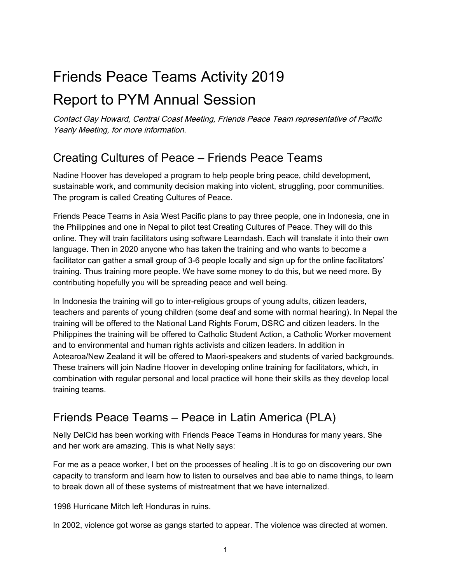# Friends Peace Teams Activity 2019

## Report to PYM Annual Session

Contact Gay Howard, Central Coast Meeting, Friends Peace Team representative of Pacific Yearly Meeting, for more information.

#### Creating Cultures of Peace – Friends Peace Teams

Nadine Hoover has developed a program to help people bring peace, child development, sustainable work, and community decision making into violent, struggling, poor communities. The program is called Creating Cultures of Peace.

Friends Peace Teams in Asia West Pacific plans to pay three people, one in Indonesia, one in the Philippines and one in Nepal to pilot test Creating Cultures of Peace. They will do this online. They will train facilitators using software Learndash. Each will translate it into their own language. Then in 2020 anyone who has taken the training and who wants to become a facilitator can gather a small group of 3-6 people locally and sign up for the online facilitators' training. Thus training more people. We have some money to do this, but we need more. By contributing hopefully you will be spreading peace and well being.

In Indonesia the training will go to inter-religious groups of young adults, citizen leaders, teachers and parents of young children (some deaf and some with normal hearing). In Nepal the training will be offered to the National Land Rights Forum, DSRC and citizen leaders. In the Philippines the training will be offered to Catholic Student Action, a Catholic Worker movement and to environmental and human rights activists and citizen leaders. In addition in Aotearoa/New Zealand it will be offered to Maori-speakers and students of varied backgrounds. These trainers will join Nadine Hoover in developing online training for facilitators, which, in combination with regular personal and local practice will hone their skills as they develop local training teams.

### Friends Peace Teams – Peace in Latin America (PLA)

Nelly DelCid has been working with Friends Peace Teams in Honduras for many years. She and her work are amazing. This is what Nelly says:

For me as a peace worker, I bet on the processes of healing .It is to go on discovering our own capacity to transform and learn how to listen to ourselves and bae able to name things, to learn to break down all of these systems of mistreatment that we have internalized.

1998 Hurricane Mitch left Honduras in ruins.

In 2002, violence got worse as gangs started to appear. The violence was directed at women.